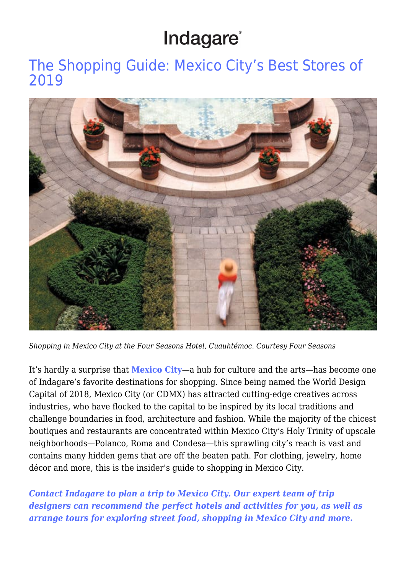## Indagare®

[The Shopping Guide: Mexico City's Best Stores of](https://www.indagare.com/destinations/north-america/mexico/mexico-city/articles/shopping-in-mexico-city-guide/) [2019](https://www.indagare.com/destinations/north-america/mexico/mexico-city/articles/shopping-in-mexico-city-guide/)



*Shopping in Mexico City at the Four Seasons Hotel, Cuauhtémoc. Courtesy Four Seasons*

It's hardly a surprise that **[Mexico City](https://www.indagare.com/destination/north-america/mexico/mexico-city/)**—a hub for culture and the arts—has become one of Indagare's favorite destinations for shopping. Since being named the World Design Capital of 2018, Mexico City (or CDMX) has attracted cutting-edge creatives across industries, who have flocked to the capital to be inspired by its local traditions and challenge boundaries in food, architecture and fashion. While the majority of the chicest boutiques and restaurants are concentrated within Mexico City's Holy Trinity of upscale neighborhoods—Polanco, Roma and Condesa—this sprawling city's reach is vast and contains many hidden gems that are off the beaten path. For clothing, jewelry, home décor and more, this is the insider's guide to shopping in Mexico City.

*[Contact Indagare to plan a trip to Mexico City. Our expert team of trip](https://www.indagare.com/contact) [designers can recommend the perfect hotels and activities for you, as well as](https://www.indagare.com/contact) [arrange tours for exploring street food, shopping in Mexico City and more.](https://www.indagare.com/contact)*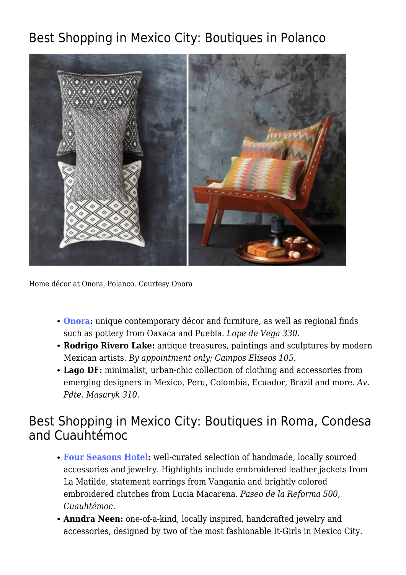## Best Shopping in Mexico City: Boutiques in Polanco



Home décor at Onora, Polanco. Courtesy Onora

- **[Onora](https://www.indagare.com/destinations/north-america/mexico/mexico-city/polanco/shops/onora):** unique contemporary décor and furniture, as well as regional finds such as pottery from Oaxaca and Puebla. *Lope de Vega 330.*
- **Rodrigo Rivero Lake:** antique treasures, paintings and sculptures by modern Mexican artists. *By appointment only; Campos Elíseos 105.*
- **Lago DF:** minimalist, urban-chic collection of clothing and accessories from emerging designers in Mexico, Peru, Colombia, Ecuador, Brazil and more. *Av. Pdte. Masaryk 310.*

### Best Shopping in Mexico City: Boutiques in Roma, Condesa and Cuauhtémoc

- **[Four Seasons Hotel](https://www.indagare.com/destinations/north-america/mexico/mexico-city/reforma/hotels/four-seasons-mexico-city):** well-curated selection of handmade, locally sourced accessories and jewelry. Highlights include embroidered leather jackets from La Matilde, statement earrings from Vangania and brightly colored embroidered clutches from Lucia Macarena. *Paseo de la Reforma 500, Cuauhtémoc.*
- **Anndra Neen:** one-of-a-kind, locally inspired, handcrafted jewelry and accessories, designed by two of the most fashionable It-Girls in Mexico City.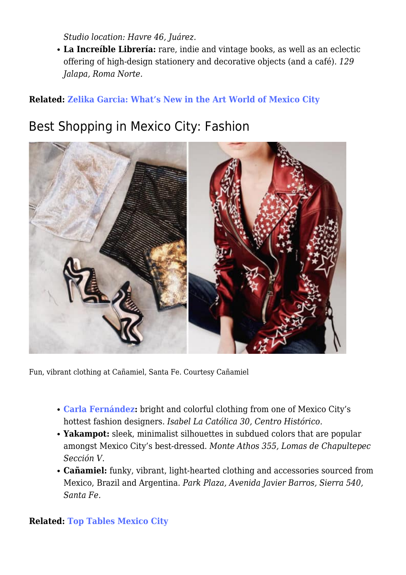*Studio location: Havre 46, Juárez.*

**La Increíble Librería:** rare, indie and vintage books, as well as an eclectic offering of high-design stationery and decorative objects (and a café). *129 Jalapa, Roma Norte.*

#### **Related: [Zelika Garcia: What's New in the Art World of Mexico City](https://www.indagare.com/destinations/north-america/mexico/mexico-city/articles/zelika-garcia-whats-new-art-world-mexico-city)**

### Best Shopping in Mexico City: Fashion



Fun, vibrant clothing at Cañamiel, Santa Fe. Courtesy Cañamiel

- **[Carla Fernández:](https://www.indagare.com/destinations/north-america/mexico/mexico-city/roma/shops/carla-fernandez)** bright and colorful clothing from one of Mexico City's hottest fashion designers. *Isabel La Católica 30, Centro Histórico.*
- **Yakampot:** sleek, minimalist silhouettes in subdued colors that are popular amongst Mexico City's best-dressed. *Monte Athos 355, Lomas de Chapultepec Sección V.*
- **Cañamiel:** funky, vibrant, light-hearted clothing and accessories sourced from Mexico, Brazil and Argentina. *Park Plaza, Avenida Javier Barros, Sierra 540, Santa Fe.*

#### **Related: [Top Tables Mexico City](https://www.indagare.com/destinations/north-america/mexico/mexico-city/articles/top-tables-charleston-mexico-city)**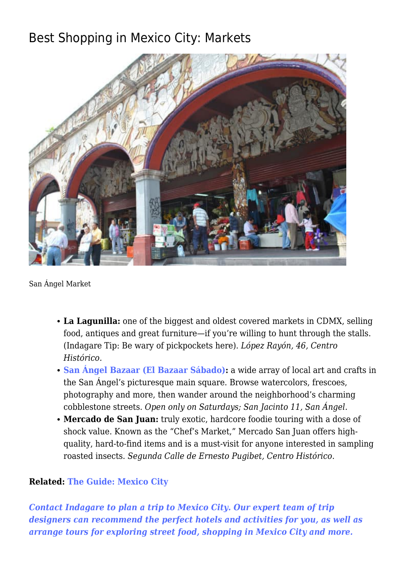## Best Shopping in Mexico City: Markets



San Ángel Market

- **La Lagunilla:** one of the biggest and oldest covered markets in CDMX, selling food, antiques and great furniture—if you're willing to hunt through the stalls. (Indagare Tip: Be wary of pickpockets here). *López Rayón, 46, Centro Histórico.*
- **[San Ángel Bazaar \(El Bazaar Sábado\):](https://www.indagare.com/destinations/north-america/mexico/mexico-city/san-angel/activities/san-angel-saturday-bazaar)** a wide array of local art and crafts in the San Ángel's picturesque main square. Browse watercolors, frescoes, photography and more, then wander around the neighborhood's charming cobblestone streets. *Open only on Saturdays; San Jacinto 11, San Ángel.*
- **Mercado de San Juan:** truly exotic, hardcore foodie touring with a dose of shock value. Known as the "Chef's Market," Mercado San Juan offers highquality, hard-to-find items and is a must-visit for anyone interested in sampling roasted insects. *Segunda Calle de Ernesto Pugibet, Centro Histórico.*

#### **Related: [The Guide: Mexico City](https://www.indagare.com/destination/north-america/mexico/mexico-city/)**

*[Contact Indagare to plan a trip to Mexico City. Our expert team of trip](https://www.indagare.com/contact) [designers can recommend the perfect hotels and activities for you, as well as](https://www.indagare.com/contact) [arrange tours for exploring street food, shopping in Mexico City and more.](https://www.indagare.com/contact)*